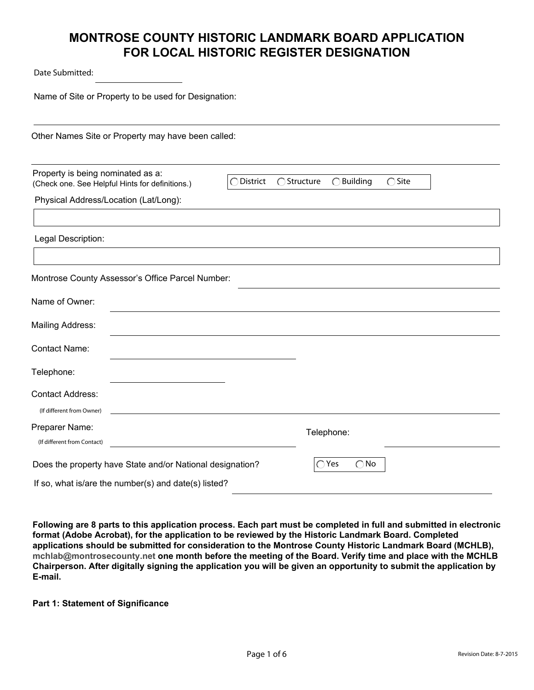Date Submitted:

Name of Site or Property to be used for Designation:

Other Names Site or Property may have been called:

| Property is being nominated as a:<br>(Check one. See Helpful Hints for definitions.) | $\bigcirc$ Building<br>$\bigcirc$ Structure<br>$\bigcirc$ Site<br>District |
|--------------------------------------------------------------------------------------|----------------------------------------------------------------------------|
| Physical Address/Location (Lat/Long):                                                |                                                                            |
|                                                                                      |                                                                            |
| Legal Description:                                                                   |                                                                            |
|                                                                                      |                                                                            |
| Montrose County Assessor's Office Parcel Number:                                     |                                                                            |
| Name of Owner:                                                                       |                                                                            |
| Mailing Address:                                                                     |                                                                            |
| <b>Contact Name:</b>                                                                 |                                                                            |
| Telephone:                                                                           |                                                                            |
| <b>Contact Address:</b><br>(If different from Owner)                                 |                                                                            |
| Preparer Name:<br>(If different from Contact)                                        | Telephone:                                                                 |
| Does the property have State and/or National designation?                            | Yes<br>$\bigcap$ No                                                        |
| If so, what is/are the number(s) and date(s) listed?                                 |                                                                            |

**Following are 8 parts to this application process. Each part must be completed in full and submitted in electronic format (Adobe Acrobat), for the application to be reviewed by the Historic Landmark Board. Completed applications should be submitted for consideration to the Montrose County Historic Landmark Board (MCHLB), mchlab@montrosecounty.net one month before the meeting of the Board. Verify time and place with the MCHLB Chairperson. After digitally signing the application you will be given an opportunity to submit the application by E-mail.**

**Part 1: Statement of Significance**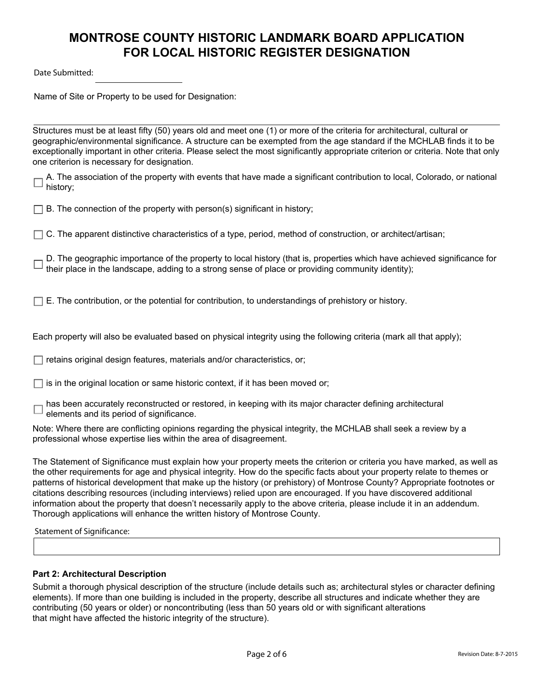Date Submitted:

Name of Site or Property to be used for Designation:

Structures must be at least fifty (50) years old and meet one (1) or more of the criteria for architectural, cultural or geographic/environmental significance. A structure can be exempted from the age standard if the MCHLAB finds it to be exceptionally important in other criteria. Please select the most significantly appropriate criterion or criteria. Note that only one criterion is necessary for designation.

A. The association of the property with events that have made a significant contribution to local, Colorado, or national history;

 $\Box$  B. The connection of the property with person(s) significant in history;

 $\Box$  C. The apparent distinctive characteristics of a type, period, method of construction, or architect/artisan;

D. The geographic importance of the property to local history (that is, properties which have achieved significance for their place in the landscape, adding to a strong sense of place or providing community identity);

 $\Box$  E. The contribution, or the potential for contribution, to understandings of prehistory or history.

Each property will also be evaluated based on physical integrity using the following criteria (mark all that apply);

 $\Box$  retains original design features, materials and/or characteristics, or;

 $\exists$  is in the original location or same historic context, if it has been moved or;

has been accurately reconstructed or restored, in keeping with its major character defining architectural elements and its period of significance.

Note: Where there are conflicting opinions regarding the physical integrity, the MCHLAB shall seek a review by a professional whose expertise lies within the area of disagreement.

The Statement of Significance must explain how your property meets the criterion or criteria you have marked, as well as the other requirements for age and physical integrity. How do the specific facts about your property relate to themes or patterns of historical development that make up the history (or prehistory) of Montrose County? Appropriate footnotes or citations describing resources (including interviews) relied upon are encouraged. If you have discovered additional information about the property that doesn't necessarily apply to the above criteria, please include it in an addendum. Thorough applications will enhance the written history of Montrose County.

Statement of Significance:

### **Part 2: Architectural Description**

Submit a thorough physical description of the structure (include details such as; architectural styles or character defining elements). If more than one building is included in the property, describe all structures and indicate whether they are contributing (50 years or older) or noncontributing (less than 50 years old or with significant alterations that might have affected the historic integrity of the structure).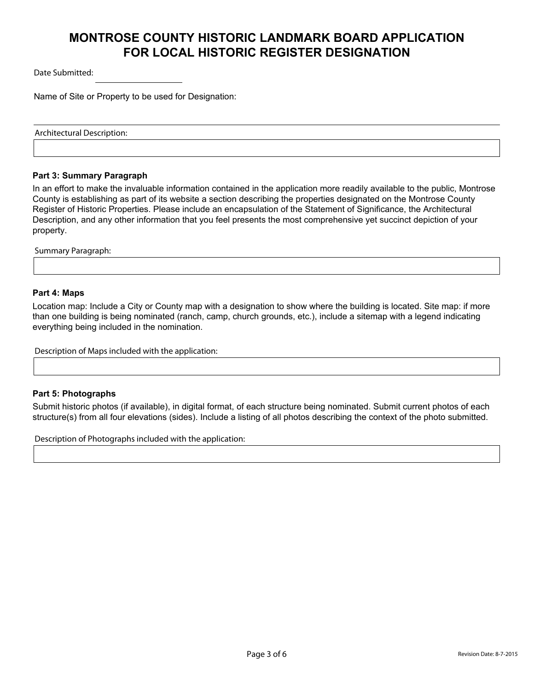Date Submitted:

Name of Site or Property to be used for Designation:

Architectural Description:

### **Part 3: Summary Paragraph**

In an effort to make the invaluable information contained in the application more readily available to the public, Montrose County is establishing as part of its website a section describing the properties designated on the Montrose County Register of Historic Properties. Please include an encapsulation of the Statement of Significance, the Architectural Description, and any other information that you feel presents the most comprehensive yet succinct depiction of your property.

Summary Paragraph:

### **Part 4: Maps**

Location map: Include a City or County map with a designation to show where the building is located. Site map: if more than one building is being nominated (ranch, camp, church grounds, etc.), include a sitemap with a legend indicating everything being included in the nomination.

Description of Maps included with the application:

### **Part 5: Photographs**

Submit historic photos (if available), in digital format, of each structure being nominated. Submit current photos of each structure(s) from all four elevations (sides). Include a listing of all photos describing the context of the photo submitted.

Description of Photographs included with the application: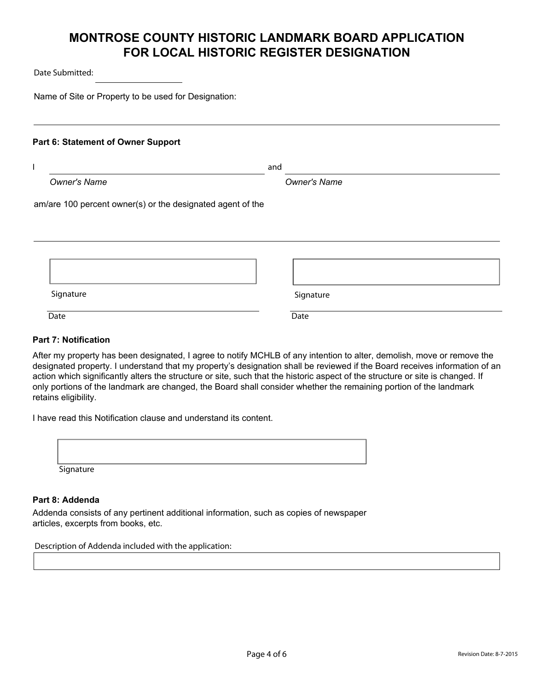Date Submitted:

Name of Site or Property to be used for Designation:

### **Part 6: Statement of Owner Support**

|                                                            | and                 |
|------------------------------------------------------------|---------------------|
| <b>Owner's Name</b>                                        | <b>Owner's Name</b> |
| am/are 100 percent owner(s) or the designated agent of the |                     |
|                                                            |                     |
|                                                            |                     |
|                                                            |                     |
|                                                            |                     |
| Signature                                                  | Signature           |
| Date                                                       | Date                |

### **Part 7: Notification**

After my property has been designated, I agree to notify MCHLB of any intention to alter, demolish, move or remove the designated property. I understand that my property's designation shall be reviewed if the Board receives information of an action which significantly alters the structure or site, such that the historic aspect of the structure or site is changed. If only portions of the landmark are changed, the Board shall consider whether the remaining portion of the landmark retains eligibility.

I have read this Notification clause and understand its content.

| Signature |  |  |
|-----------|--|--|

### **Part 8: Addenda**

Addenda consists of any pertinent additional information, such as copies of newspaper articles, excerpts from books, etc.

Description of Addenda included with the application: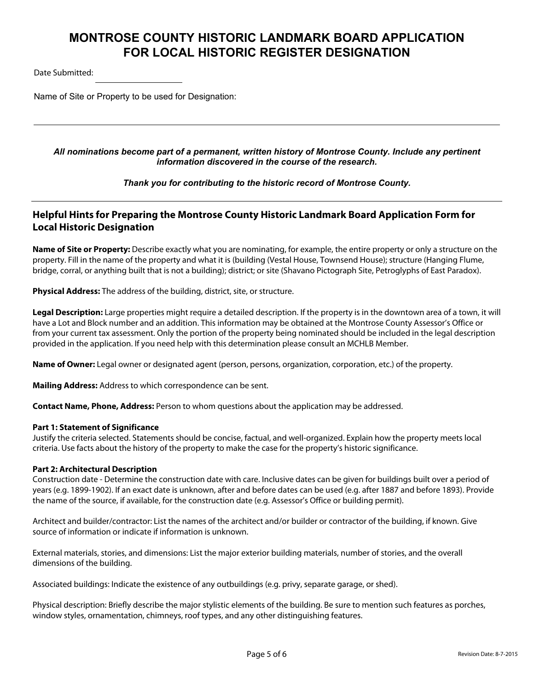Date Submitted:

Name of Site or Property to be used for Designation:

### *All nominations become part of a permanent, written history of Montrose County. Include any pertinent information discovered in the course of the research.*

*Thank you for contributing to the historic record of Montrose County.*

## **Helpful Hints for Preparing the Montrose County Historic Landmark Board Application Form for Local Historic Designation**

**Name of Site or Property:** Describe exactly what you are nominating, for example, the entire property or only a structure on the property. Fill in the name of the property and what it is (building (Vestal House, Townsend House); structure (Hanging Flume, bridge, corral, or anything built that is not a building); district; or site (Shavano Pictograph Site, Petroglyphs of East Paradox).

**Physical Address:** The address of the building, district, site, or structure.

Legal Description: Large properties might require a detailed description. If the property is in the downtown area of a town, it will have a Lot and Block number and an addition. This information may be obtained at the Montrose County Assessor's Office or from your current tax assessment. Only the portion of the property being nominated should be included in the legal description provided in the application. If you need help with this determination please consult an MCHLB Member.

**Name of Owner:** Legal owner or designated agent (person, persons, organization, corporation, etc.) of the property.

**Mailing Address:** Address to which correspondence can be sent.

**Contact Name, Phone, Address:** Person to whom questions about the application may be addressed.

#### **Part 1: Statement of Significance**

Justify the criteria selected. Statements should be concise, factual, and well-organized. Explain how the property meets local criteria. Use facts about the history of the property to make the case for the property's historic significance.

### **Part 2: Architectural Description**

Construction date - Determine the construction date with care. Inclusive dates can be given for buildings built over a period of years (e.g. 1899-1902). If an exact date is unknown, after and before dates can be used (e.g. after 1887 and before 1893). Provide the name of the source, if available, for the construction date (e.g. Assessor's Office or building permit).

Architect and builder/contractor: List the names of the architect and/or builder or contractor of the building, if known. Give source of information or indicate if information is unknown.

External materials, stories, and dimensions: List the major exterior building materials, number of stories, and the overall dimensions of the building.

Associated buildings: Indicate the existence of any outbuildings (e.g. privy, separate garage, or shed).

Physical description: Briefly describe the major stylistic elements of the building. Be sure to mention such features as porches, window styles, ornamentation, chimneys, roof types, and any other distinguishing features.